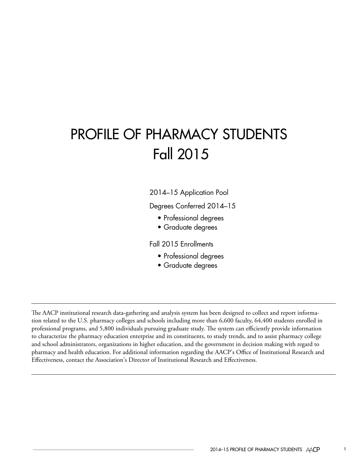# PROFILE OF PHARMACY STUDENTS Fall 2015

2014–15 Application Pool

Degrees Conferred 2014–15

- Professional degrees
- Graduate degrees

Fall 2015 Enrollments

- Professional degrees
- Graduate degrees

The AACP institutional research data-gathering and analysis system has been designed to collect and report information related to the U.S. pharmacy colleges and schools including more than 6,600 faculty, 64,400 students enrolled in professional programs, and 5,800 individuals pursuing graduate study. The system can efficiently provide information to characterize the pharmacy education enterprise and its constituents, to study trends, and to assist pharmacy college and school administrators, organizations in higher education, and the government in decision making with regard to pharmacy and health education. For additional information regarding the AACP's Office of Institutional Research and Effectiveness, contact the Association's Director of Institutional Research and Effectiveness.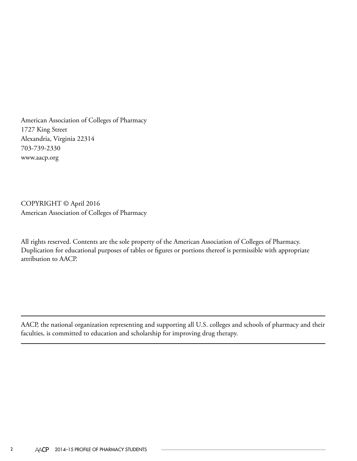American Association of Colleges of Pharmacy 1727 King Street Alexandria, Virginia 22314 703-739-2330 www.aacp.org

COPYRIGHT © April 2016 American Association of Colleges of Pharmacy

All rights reserved. Contents are the sole property of the American Association of Colleges of Pharmacy. Duplication for educational purposes of tables or figures or portions thereof is permissible with appropriate attribution to AACP.

AACP, the national organization representing and supporting all U.S. colleges and schools of pharmacy and their faculties, is committed to education and scholarship for improving drug therapy.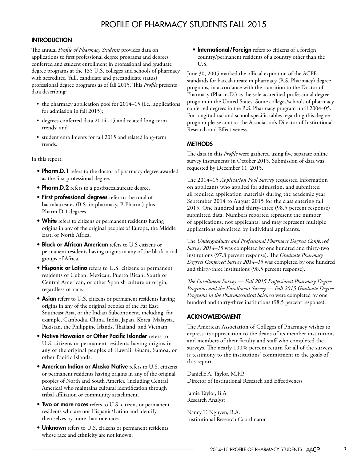### PROFILE OF PHARMACY STUDENTS FALL 2015

#### **INTRODUCTION**

The annual *Profile of Pharmacy Students* provides data on applications to first professional degree programs and degrees conferred and student enrollment in professional and graduate degree programs at the 135 U.S. colleges and schools of pharmacy with accredited (full, candidate and precandidate status) professional degree programs as of fall 2015. This *Profile* presents data describing:

- the pharmacy application pool for 2014–15 (i.e., applications for admission in fall 2015);
- degrees conferred data 2014–15 and related long-term trends; and
- student enrollments for fall 2015 and related long-term trends.

In this report:

- Pharm.D.1 refers to the doctor of pharmacy degree awarded as the first professional degree.
- Pharm.D.2 refers to a postbaccalaureate degree.
- **First professional degrees** refer to the total of baccalaureates (B.S. in pharmacy, B.Pharm.) plus Pharm.D.1 degrees.
- White refers to citizens or permanent residents having origins in any of the original peoples of Europe, the Middle East, or North Africa.
- Black or African American refers to U.S citizens or permanent residents having origins in any of the black racial groups of Africa.
- **Hispanic or Latino** refers to U.S. citizens or permanent residents of Cuban, Mexican, Puerto Rican, South or Central American, or other Spanish culture or origin, regardless of race.
- Asian refers to U.S. citizens or permanent residents having origins in any of the original peoples of the Far East, Southeast Asia, or the Indian Subcontinent, including, for example, Cambodia, China, India, Japan, Korea, Malaysia, Pakistan, the Philippine Islands, Thailand, and Vietnam.
- Native Hawaiian or Other Pacific Islander refers to U.S. citizens or permanent residents having origins in any of the original peoples of Hawaii, Guam, Samoa, or other Pacific Islands.
- American Indian or Alaska Native refers to U.S. citizens or permanent residents having origins in any of the original peoples of North and South America (including Central America) who maintains cultural identification through tribal affiliation or community attachment.
- Two or more races refers to U.S. citizens or permanent residents who are not Hispanic/Latino and identify themselves by more than one race.
- Unknown refers to U.S. citizens or permanent residents whose race and ethnicity are not known.

• International/Foreign refers to citizens of a foreign country/permanent residents of a country other than the U.S.

June 30, 2005 marked the official expiration of the ACPE standards for baccalaureate in pharmacy (B.S. Pharmacy) degree programs, in accordance with the transition to the Doctor of Pharmacy (Pharm.D.) as the sole accredited professional degree program in the United States. Some colleges/schools of pharmacy conferred degrees in the B.S. Pharmacy program until 2004–05. For longitudinal and school-specific tables regarding this degree program please contact the Association's Director of Institutional Research and Effectiveness.

#### **METHODS**

The data in this *Profile* were gathered using five separate online survey instruments in October 2015. Submission of data was requested by December 11, 2015.

The 2014–15 *Application Pool Survey* requested information on applicants who applied for admission, and submitted all required application materials during the academic year September 2014 to August 2015 for the class entering fall 2015. One hundred and thirty-three (98.5 percent response) submitted data. Numbers reported represent the number of applications, not applicants, and may represent multiple applications submitted by individual applicants.

The *Undergraduate and Professional Pharmacy Degrees Conferred Survey 2014–15* was completed by one hundred and thirty-two institutions (97.8 percent response). The *Graduate Pharmacy Degrees Conferred Survey 2014–15* was completed by one hundred and thirty-three institutions (98.5 percent response).

*The Enrollment Survey — Fall 2015 Professional Pharmacy Degree Programs and the Enrollment Survey — Fall 2015 Graduate Degree Programs in the Pharmaceutical Sciences* were completed by one hundred and thirty-three institutions (98.5 percent response).

#### ACKNOWLEDGMENT

The American Association of Colleges of Pharmacy wishes to express its appreciation to the deans of its member institutions and members of their faculty and staff who completed the surveys. The nearly 100% percent return for all of the surveys is testimony to the institutions' commitment to the goals of this report.

Danielle A. Taylor, M.P.P. Director of Institutional Research and Effectiveness

Jamie Taylor, B.A. Research Analyst

Nancy T. Nguyen, B.A. Institutional Research Coordinator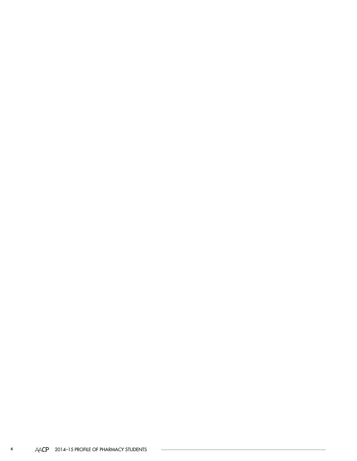$\overline{\phantom{a}}$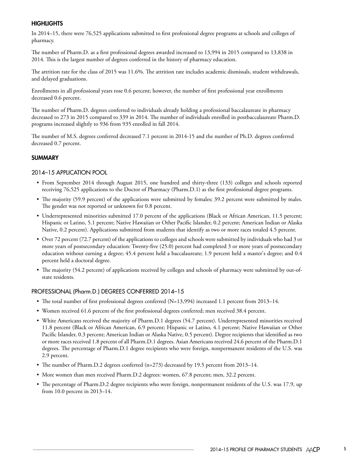#### **HIGHLIGHTS**

In 2014–15, there were 76,525 applications submitted to first professional degree programs at schools and colleges of pharmacy.

The number of Pharm.D. as a first professional degrees awarded increased to 13,994 in 2015 compared to 13,838 in 2014. This is the largest number of degrees conferred in the history of pharmacy education.

The attrition rate for the class of 2015 was 11.6%. The attrition rate includes academic dismissals, student withdrawals, and delayed graduations.

Enrollments in all professional years rose 0.6 percent; however, the number of first professional year enrollments decreased 0.6 percent.

The number of Pharm.D. degrees conferred to individuals already holding a professional baccalaureate in pharmacy decreased to 273 in 2015 compared to 339 in 2014. The number of individuals enrolled in postbaccalaureate Pharm.D. programs increased slightly to 936 from 935 enrolled in fall 2014.

The number of M.S. degrees conferred decreased 7.1 percent in 2014-15 and the number of Ph.D. degrees conferred decreased 0.7 percent.

#### **SUMMARY**

#### 2014–15 APPLICATION POOL

- From September 2014 through August 2015, one hundred and thirty-three (133) colleges and schools reported receiving 76,525 applications to the Doctor of Pharmacy (Pharm.D.1) as the first professional degree programs.
- The majority (59.9 percent) of the applications were submitted by females; 39.2 percent were submitted by males. The gender was not reported or unknown for 0.8 percent.
- Underrepresented minorities submitted 17.0 percent of the applications (Black or African American, 11.5 percent; Hispanic or Latino, 5.1 percent; Native Hawaiian or Other Pacific Islander, 0.2 percent; American Indian or Alaska Native, 0.2 percent). Applications submitted from students that identify as two or more races totaled 4.5 percent.
- Over 72 percent (72.7 percent) of the applications to colleges and schools were submitted by individuals who had 3 or more years of postsecondary education: Twenty-five (25.0) percent had completed 3 or more years of postsecondary education without earning a degree; 45.4 percent held a baccalaureate; 1.9 percent held a master's degree; and 0.4 percent held a doctoral degree.
- The majority (54.2 percent) of applications received by colleges and schools of pharmacy were submitted by out-ofstate residents.

#### PROFESSIONAL (Pharm.D.) DEGREES CONFERRED 2014–15

- The total number of first professional degrees conferred (N=13,994) increased 1.1 percent from 2013–14.
- Women received 61.6 percent of the first professional degrees conferred; men received 38.4 percent.
- White Americans received the majority of Pharm.D.1 degrees (54.7 percent). Underrepresented minorities received 11.8 percent (Black or African American, 6.9 percent; Hispanic or Latino, 4.1 percent; Native Hawaiian or Other Pacific Islander, 0.3 percent; American Indian or Alaska Native, 0.5 percent). Degree recipients that identified as two or more races received 1.8 percent of all Pharm.D.1 degrees. Asian Americans received 24.6 percent of the Pharm.D.1 degrees. The percentage of Pharm.D.1 degree recipients who were foreign, nonpermanent residents of the U.S. was 2.9 percent.
- The number of Pharm.D.2 degrees conferred (n=273) decreased by 19.5 percent from 2013–14.
- More women than men received Pharm.D.2 degrees: women, 67.8 percent; men, 32.2 percent.
- The percentage of Pharm.D.2 degree recipients who were foreign, nonpermanent residents of the U.S. was 17.9, up from 10.0 percent in 2013–14.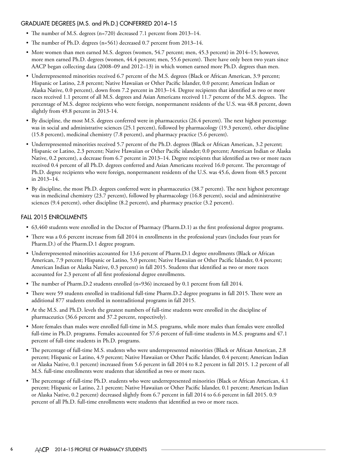#### GRADUATE DEGREES (M.S. and Ph.D.) CONFERRED 2014–15

- The number of M.S. degrees (n=720) decreased 7.1 percent from 2013–14.
- The number of Ph.D. degrees (n=561) decreased 0.7 percent from 2013–14.
- More women than men earned M.S. degrees (women, 54.7 percent; men, 45.3 percent) in 2014–15; however, more men earned Ph.D. degrees (women, 44.4 percent; men, 55.6 percent). There have only been two years since AACP began collecting data (2008–09 and 2012–13) in which women earned more Ph.D. degrees than men.
- Underrepresented minorities received 6.7 percent of the M.S. degrees (Black or African American, 3.9 percent; Hispanic or Latino, 2.8 percent; Native Hawaiian or Other Pacific Islander, 0.0 percent; American Indian or Alaska Native, 0.0 percent), down from 7.2 percent in 2013–14. Degree recipients that identified as two or more races received 1.1 percent of all M.S. degrees and Asian Americans received 11.7 percent of the M.S. degrees. The percentage of M.S. degree recipients who were foreign, nonpermanent residents of the U.S. was 48.8 percent, down slightly from 49.8 percent in 2013-14.
- By discipline, the most M.S. degrees conferred were in pharmaceutics (26.4 percent). The next highest percentage was in social and administrative sciences (25.1 percent), followed by pharmacology (19.3 percent), other discipline (15.8 percent), medicinal chemistry (7.8 percent), and pharmacy practice (5.6 percent).
- Underrepresented minorities received 5.7 percent of the Ph.D. degrees (Black or African American, 3.2 percent; Hispanic or Latino, 2.3 percent; Native Hawaiian or Other Pacific islander; 0.0 percent; American Indian or Alaska Native, 0.2 percent), a decrease from 6.7 percent in 2013–14. Degree recipients that identified as two or more races received 0.4 percent of all Ph.D. degrees conferred and Asian Americans received 16.0 percent. The percentage of Ph.D. degree recipients who were foreign, nonpermanent residents of the U.S. was 45.6, down from 48.5 percent in 2013–14.
- By discipline, the most Ph.D. degrees conferred were in pharmaceutics (38.7 percent). The next highest percentage was in medicinal chemistry (23.7 percent), followed by pharmacology (16.8 percent), social and administrative sciences (9.4 percent), other discipline (8.2 percent), and pharmacy practice (3.2 percent).

#### FALL 2015 ENROLLMENTS

- 63,460 students were enrolled in the Doctor of Pharmacy (Pharm.D.1) as the first professional degree programs.
- There was a 0.6 percent increase from fall 2014 in enrollments in the professional years (includes four years for Pharm.D.) of the Pharm.D.1 degree program.
- Underrepresented minorities accounted for 13.6 percent of Pharm.D.1 degree enrollments (Black or African American, 7.9 percent; Hispanic or Latino, 5.0 percent; Native Hawaiian or Other Pacific Islander, 0.4 percent; American Indian or Alaska Native, 0.3 percent) in fall 2015. Students that identified as two or more races accounted for 2.3 percent of all first professional degree enrollments.
- The number of Pharm.D.2 students enrolled (n=936) increased by 0.1 percent from fall 2014.
- There were 59 students enrolled in traditional full-time Pharm.D.2 degree programs in fall 2015. There were an additional 877 students enrolled in nontraditional programs in fall 2015.
- At the M.S. and Ph.D. levels the greatest numbers of full-time students were enrolled in the discipline of pharmaceutics (36.6 percent and 37.2 percent, respectively).
- More females than males were enrolled full-time in M.S. programs, while more males than females were enrolled full-time in Ph.D. programs. Females accounted for 57.6 percent of full-time students in M.S. programs and 47.1 percent of full-time students in Ph.D. programs.
- The percentage of full-time M.S. students who were underrepresented minorities (Black or African American, 2.8 percent; Hispanic or Latino, 4.9 percent; Native Hawaiian or Other Pacific Islander, 0.4 percent; American Indian or Alaska Native, 0.1 percent) increased from 5.6 percent in fall 2014 to 8.2 percent in fall 2015. 1.2 percent of all M.S. full-time enrollments were students that identified as two or more races.
- The percentage of full-time Ph.D. students who were underrepresented minorities (Black or African American, 4.1 percent; Hispanic or Latino, 2.1 percent; Native Hawaiian or Other Pacific Islander, 0.1 percent; American Indian or Alaska Native, 0.2 percent) decreased slightly from 6.7 percent in fall 2014 to 6.6 percent in fall 2015. 0.9 percent of all Ph.D. full-time enrollments were students that identified as two or more races.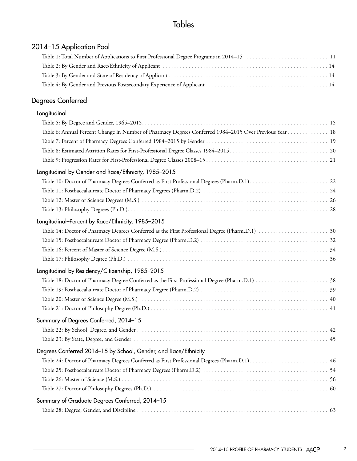## Tables

### 2014–15 Application Pool

### Degrees Conferred

| Longitudinal                                                                                            |
|---------------------------------------------------------------------------------------------------------|
|                                                                                                         |
| Table 6: Annual Percent Change in Number of Pharmacy Degrees Conferred 1984–2015 Over Previous Year  18 |
|                                                                                                         |
|                                                                                                         |
|                                                                                                         |
| Longitudinal by Gender and Race/Ethnicity, 1985-2015                                                    |
|                                                                                                         |
|                                                                                                         |
|                                                                                                         |
|                                                                                                         |
| Longitudinal-Percent by Race/Ethnicity, 1985-2015                                                       |
|                                                                                                         |
|                                                                                                         |
|                                                                                                         |
|                                                                                                         |
| Longitudinal by Residency/Citizenship, 1985-2015                                                        |
|                                                                                                         |
|                                                                                                         |
|                                                                                                         |
|                                                                                                         |
| Summary of Degrees Conferred, 2014-15                                                                   |
|                                                                                                         |
|                                                                                                         |
| Degrees Conferred 2014-15 by School, Gender, and Race/Ethnicity                                         |
|                                                                                                         |
|                                                                                                         |
| Table 26: Master of Science (M.S.).                                                                     |
|                                                                                                         |
| Summary of Graduate Degrees Conferred, 2014-15                                                          |
|                                                                                                         |

L.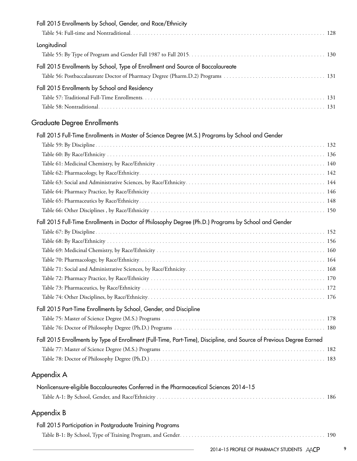| Fall 2015 Enrollments by School, Gender, and Race/Ethnicity                     |
|---------------------------------------------------------------------------------|
|                                                                                 |
| Longitudinal                                                                    |
|                                                                                 |
| Fall 2015 Enrollments by School, Type of Enrollment and Source of Baccalaureate |
|                                                                                 |
| Fall 2015 Enrollments by School and Residency                                   |
|                                                                                 |
|                                                                                 |

# Graduate Degree Enrollments

| Fall 2015 Full-Time Enrollments in Master of Science Degree (M.S.) Programs by School and Gender                     |  |
|----------------------------------------------------------------------------------------------------------------------|--|
|                                                                                                                      |  |
|                                                                                                                      |  |
|                                                                                                                      |  |
|                                                                                                                      |  |
|                                                                                                                      |  |
|                                                                                                                      |  |
|                                                                                                                      |  |
|                                                                                                                      |  |
| Fall 2015 Full-Time Enrollments in Doctor of Philosophy Degree (Ph.D.) Programs by School and Gender                 |  |
|                                                                                                                      |  |
|                                                                                                                      |  |
|                                                                                                                      |  |
|                                                                                                                      |  |
|                                                                                                                      |  |
|                                                                                                                      |  |
|                                                                                                                      |  |
|                                                                                                                      |  |
| Fall 2015 Part-Time Enrollments by School, Gender, and Discipline                                                    |  |
|                                                                                                                      |  |
|                                                                                                                      |  |
| Fall 2015 Enrollments by Type of Enrollment (Full-Time, Part-Time), Discipline, and Source of Previous Degree Earned |  |
|                                                                                                                      |  |
|                                                                                                                      |  |
|                                                                                                                      |  |

### Appendix A

| Nonlicensure-eligible Baccalaureates Conferred in the Pharmaceutical Sciences 2014-15 |  |
|---------------------------------------------------------------------------------------|--|
|                                                                                       |  |
| $A = -1$                                                                              |  |

### Appendix B

| Fall 2015 Participation in Postgraduate Training Programs |  |
|-----------------------------------------------------------|--|
|                                                           |  |

 $\overline{\phantom{0}}$